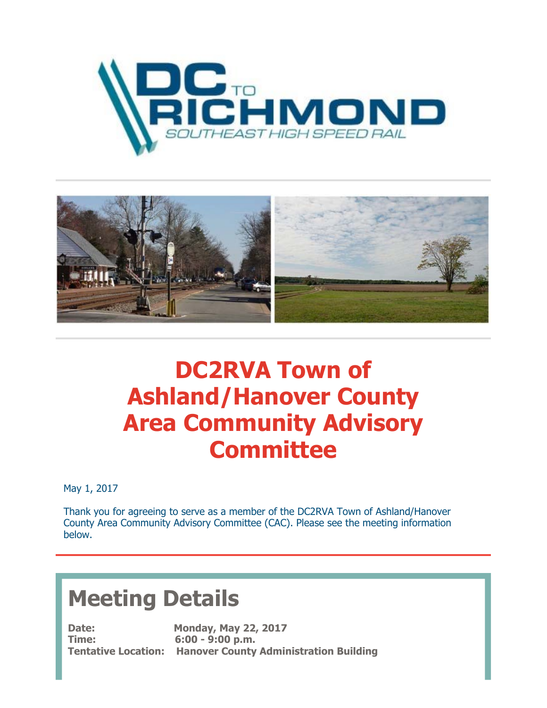



## **DC2RVA Town of Ashland/Hanover County Area Community Advisory Committee**

May 1, 2017

Thank you for agreeing to serve as a member of the DC2RVA Town of Ashland/Hanover County Area Community Advisory Committee (CAC). Please see the meeting information below.

## **Meeting Details**

**Time: 6:00 - 9:00 p.m.**

**Date: Monday, May 22, 2017 Tentative Location: Hanover County Administration Building**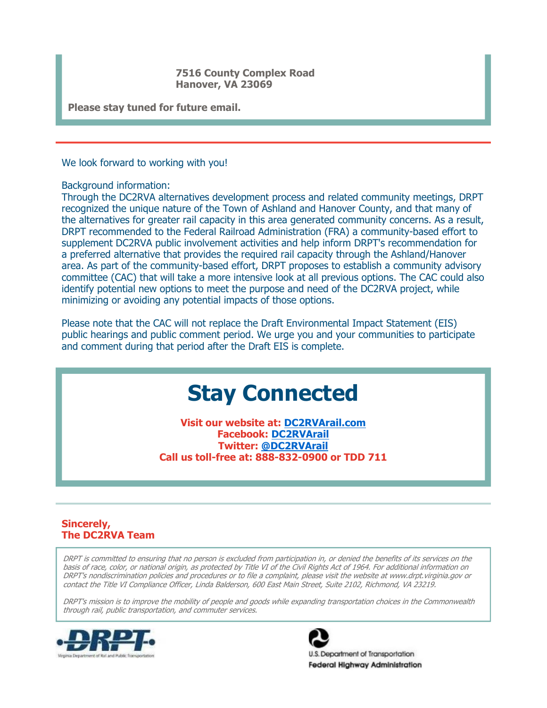**7516 County Complex Road Hanover, VA 23069** 

**Please stay tuned for future email.** 

We look forward to working with you!

Background information:

Through the DC2RVA alternatives development process and related community meetings, DRPT recognized the unique nature of the Town of Ashland and Hanover County, and that many of the alternatives for greater rail capacity in this area generated community concerns. As a result, DRPT recommended to the Federal Railroad Administration (FRA) a community-based effort to supplement DC2RVA public involvement activities and help inform DRPT's recommendation for a preferred alternative that provides the required rail capacity through the Ashland/Hanover area. As part of the community-based effort, DRPT proposes to establish a community advisory committee (CAC) that will take a more intensive look at all previous options. The CAC could also identify potential new options to meet the purpose and need of the DC2RVA project, while minimizing or avoiding any potential impacts of those options.

Please note that the CAC will not replace the Draft Environmental Impact Statement (EIS) public hearings and public comment period. We urge you and your communities to participate and comment during that period after the Draft EIS is complete.

## **Stay Connected**

**Visit our website at: DC2RVArail.com Facebook: DC2RVArail Twitter: @DC2RVArail Call us toll-free at: 888-832-0900 or TDD 711**

## **Sincerely, The DC2RVA Team**

DRPT is committed to ensuring that no person is excluded from participation in, or denied the benefits of its services on the basis of race, color, or national origin, as protected by Title VI of the Civil Rights Act of 1964. For additional information on DRPT's nondiscrimination policies and procedures or to file a complaint, please visit the website at www.drpt.virginia.gov or contact the Title VI Compliance Officer, Linda Balderson, 600 East Main Street, Suite 2102, Richmond, VA 23219.

DRPT's mission is to improve the mobility of people and goods while expanding transportation choices in the Commonwealth through rail, public transportation, and commuter services.





3. Department of Transportation **Federal Highway Administration**